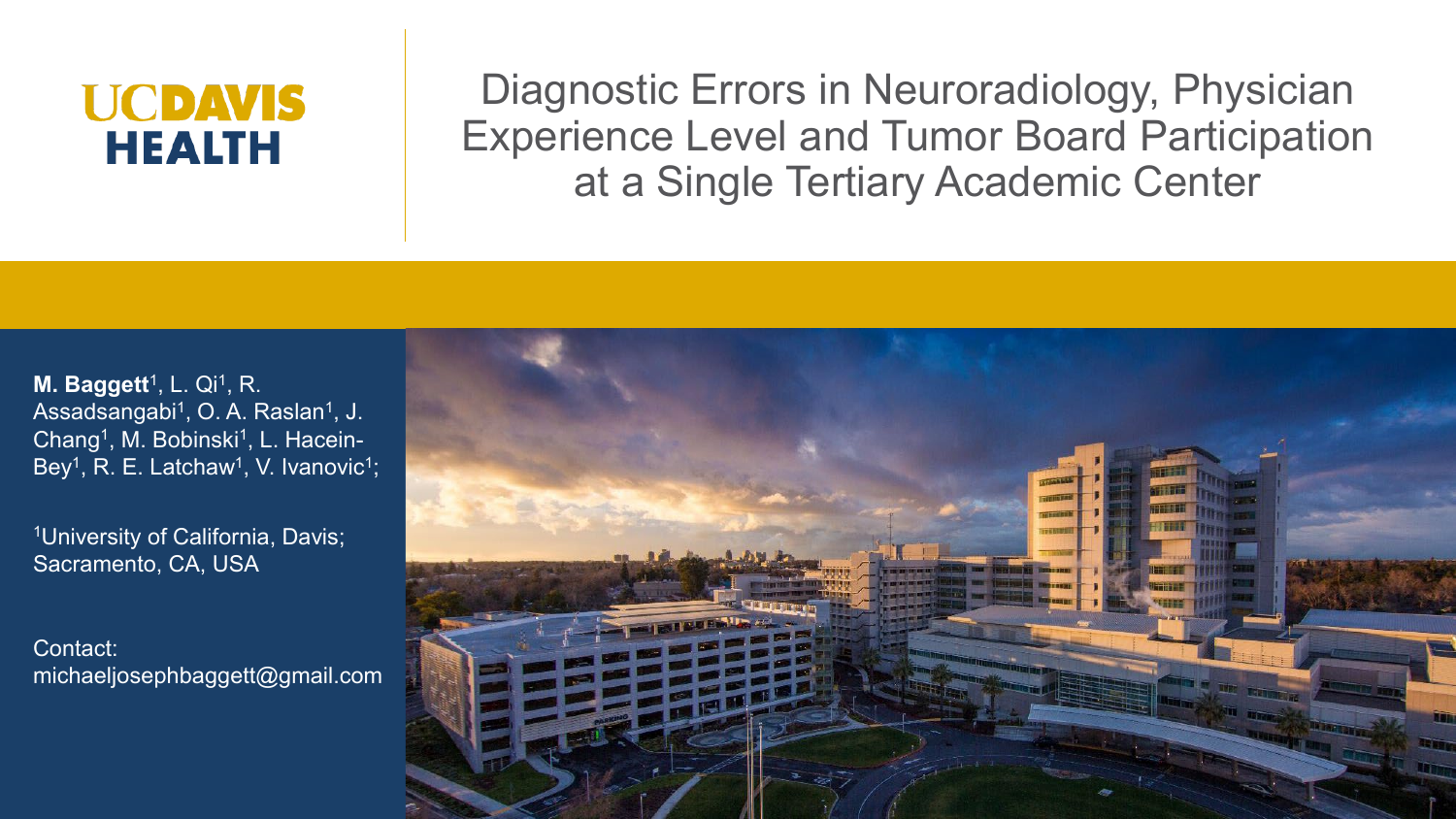# **UCDAVIS HEALTH**

Diagnostic Errors in Neuroradiology, Physician Experience Level and Tumor Board Participation at a Single Tertiary Academic Center

**M. Baggett<sup>1</sup>, L. Qi<sup>1</sup>, R.** Assadsangabi<sup>1</sup>, O. A. Raslan<sup>1</sup>, J. Chang<sup>1</sup>, M. Bobinski<sup>1</sup>, L. Hacein-Bey<sup>1</sup>, R. E. Latchaw<sup>1</sup>, V. Ivanovic<sup>1</sup>;

1University of California, Davis; Sacramento, CA, USA

Contact: michaeljosephbaggett@gmail.com

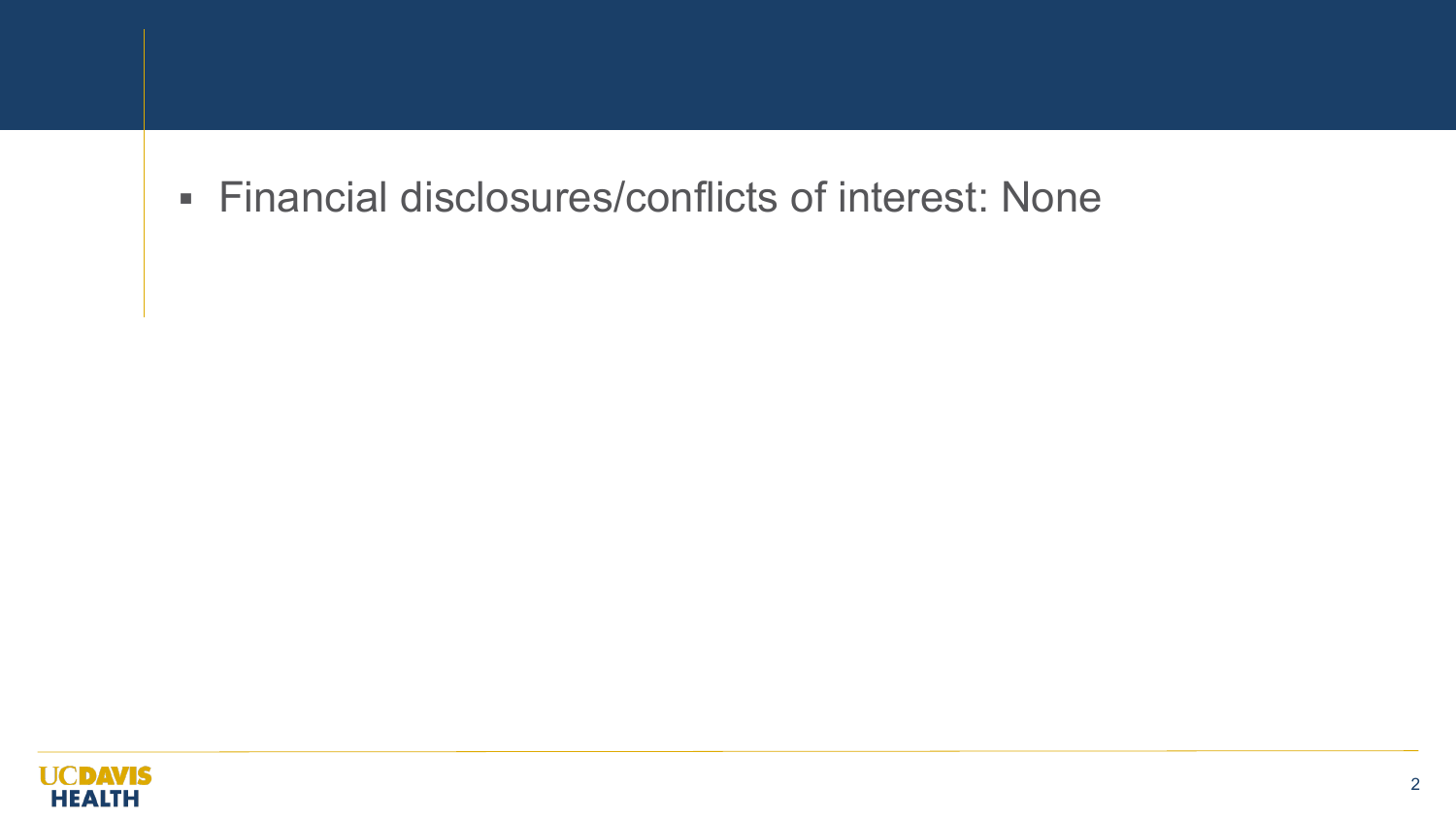#### Financial disclosures/conflicts of interest: None

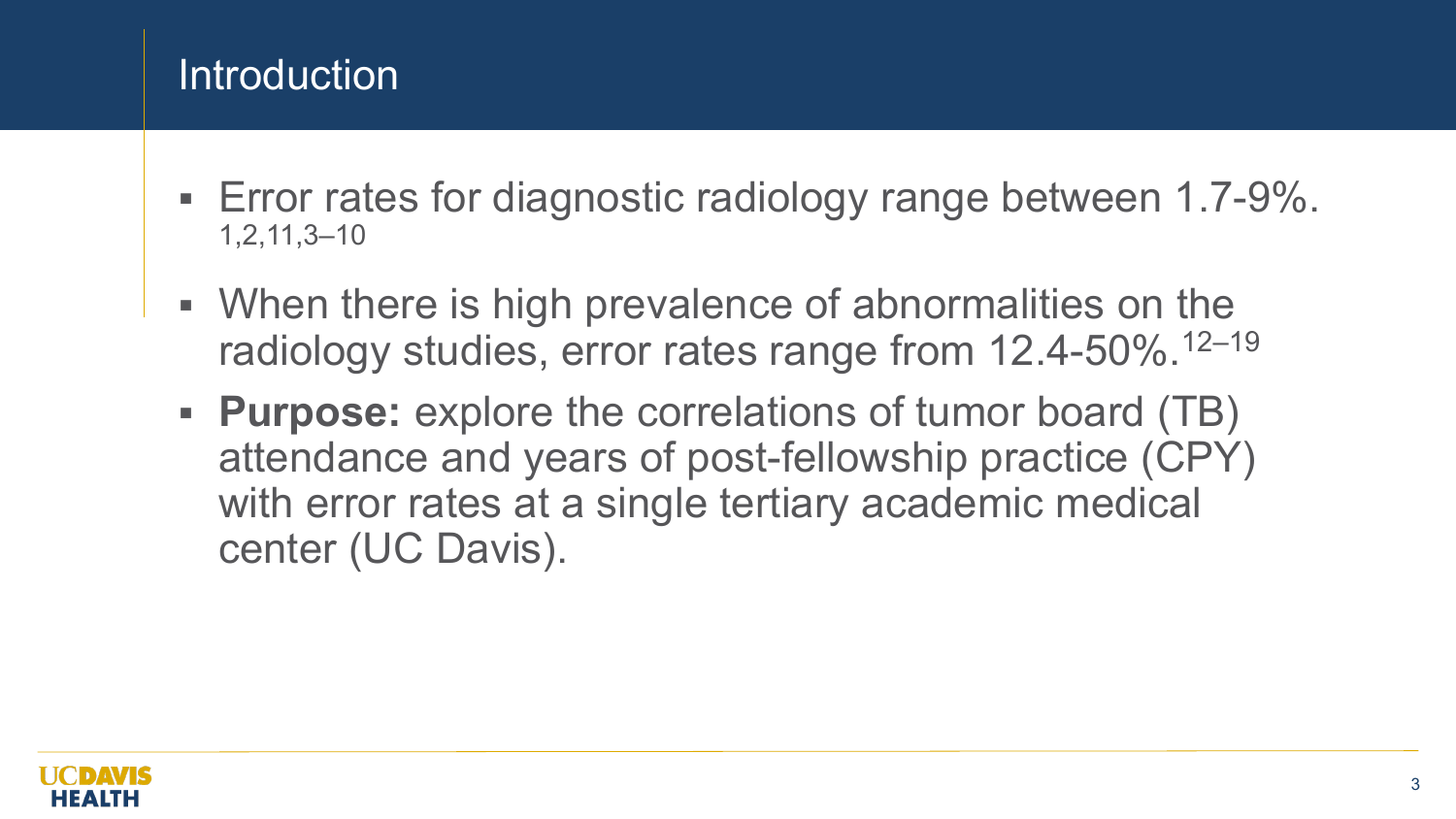# **Introduction**

- Error rates for diagnostic radiology range between 1.7-9%. 1,2,11,3–10
- When there is high prevalence of abnormalities on the radiology studies, error rates range from 12.4-50%.12–19
- **Purpose:** explore the correlations of tumor board (TB) attendance and years of post-fellowship practice (CPY) with error rates at a single tertiary academic medical center (UC Davis).

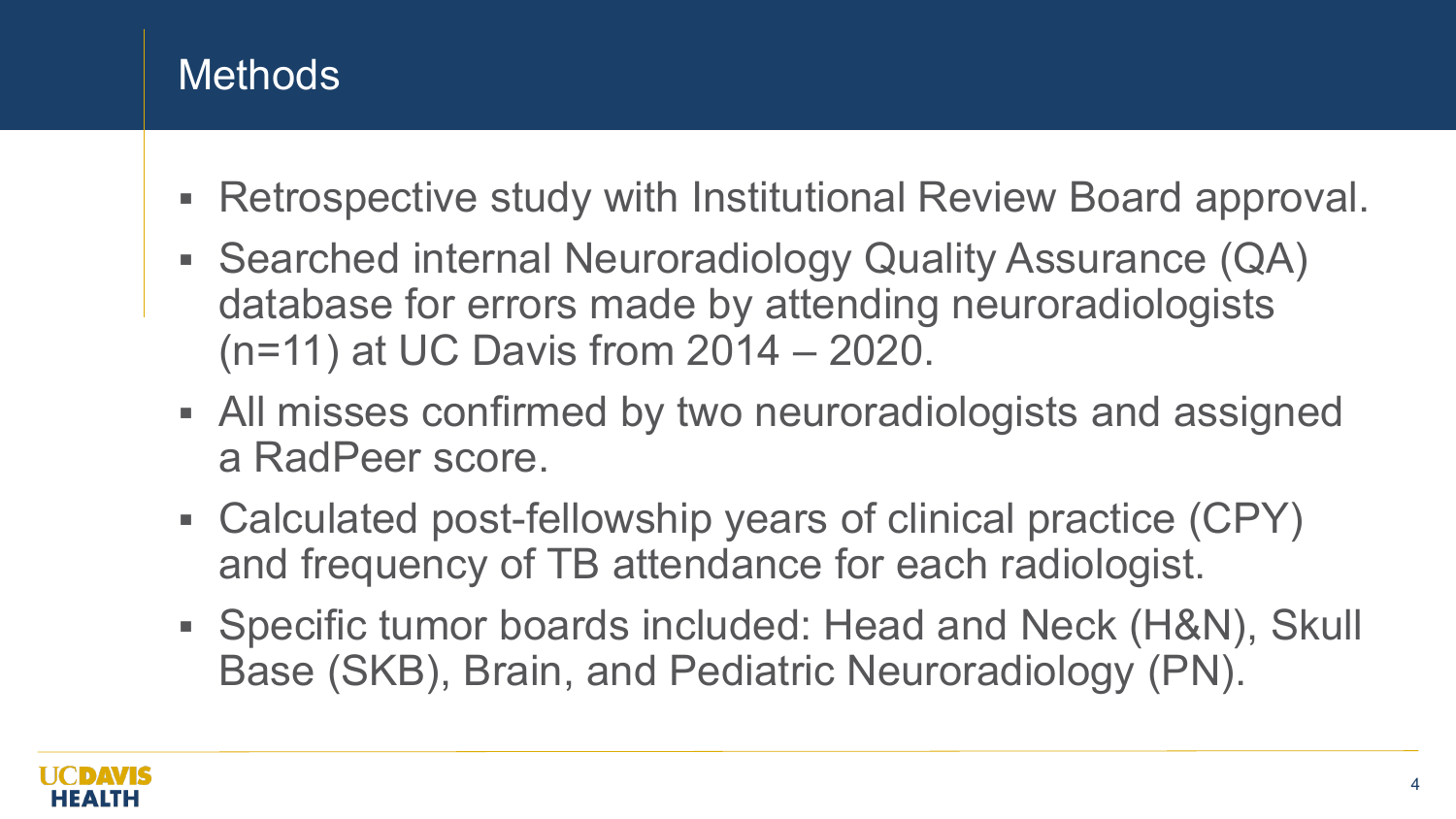# Methods

- Retrospective study with Institutional Review Board approval.
- Searched internal Neuroradiology Quality Assurance (QA) database for errors made by attending neuroradiologists (n=11) at UC Davis from 2014 – 2020.
- All misses confirmed by two neuroradiologists and assigned a RadPeer score.
- Calculated post-fellowship years of clinical practice (CPY) and frequency of TB attendance for each radiologist.
- Specific tumor boards included: Head and Neck (H&N), Skull Base (SKB), Brain, and Pediatric Neuroradiology (PN).

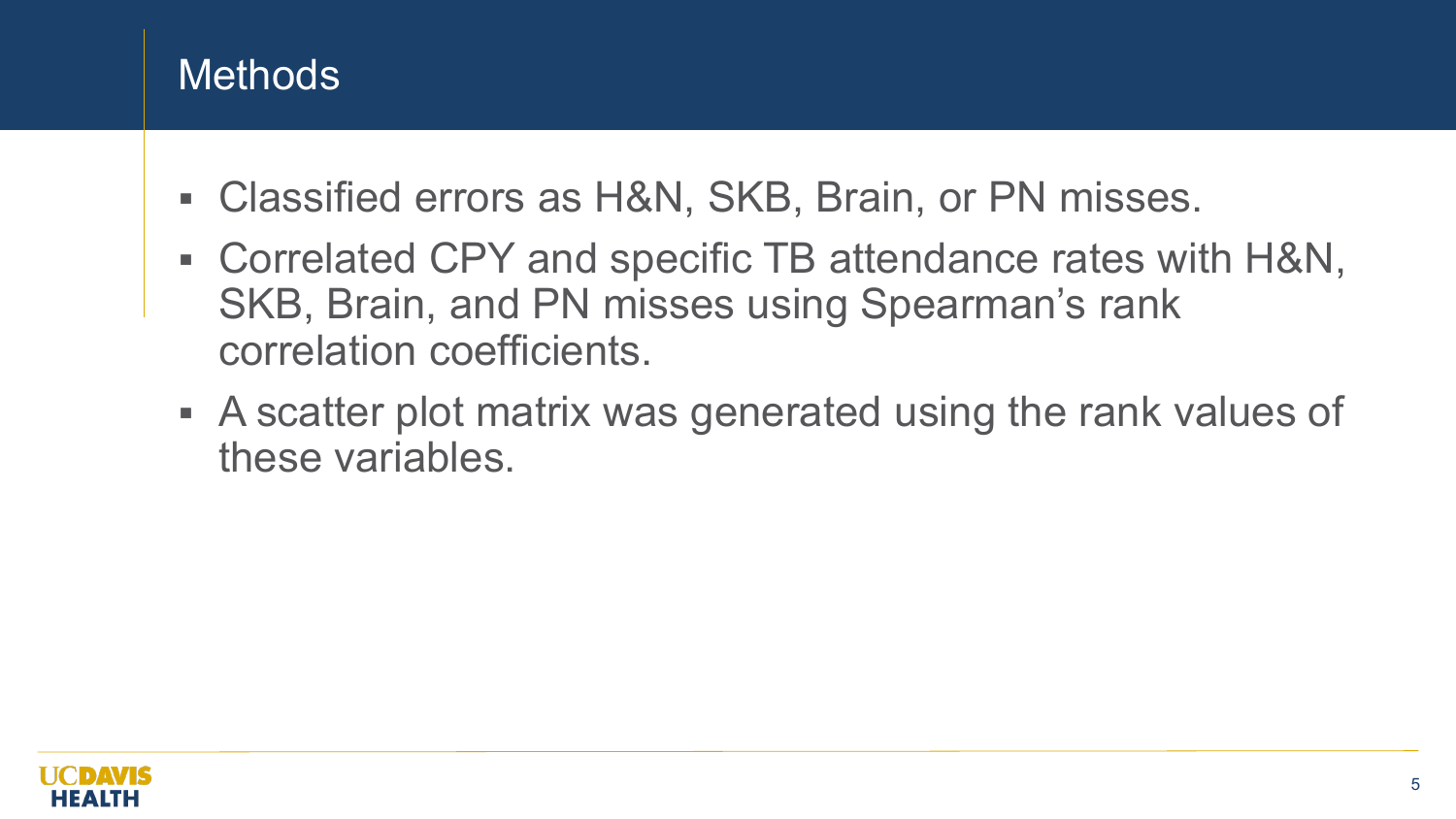## **Methods**

- Classified errors as H&N, SKB, Brain, or PN misses.
- Correlated CPY and specific TB attendance rates with H&N, SKB, Brain, and PN misses using Spearman's rank correlation coefficients.
- A scatter plot matrix was generated using the rank values of these variables.

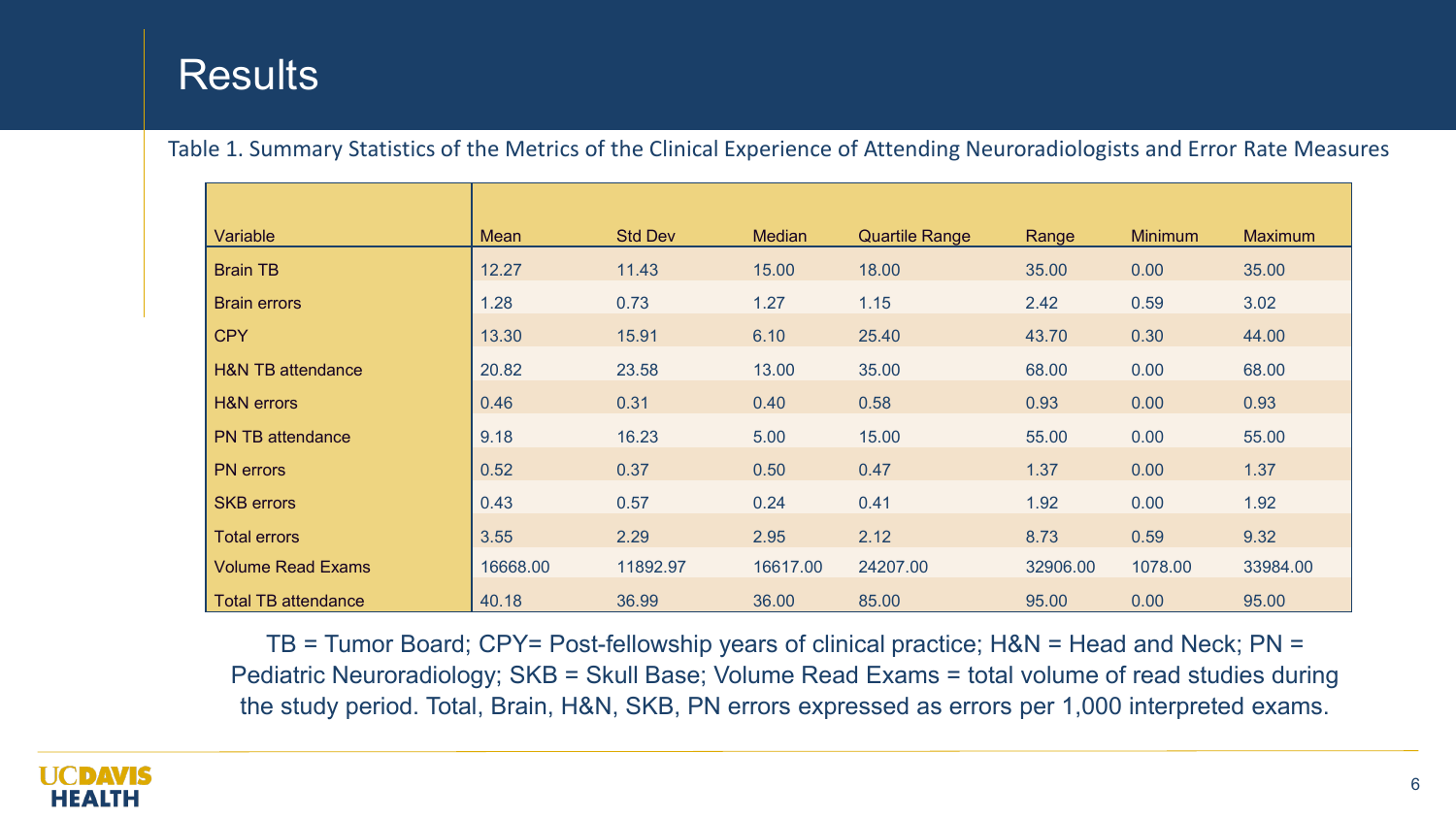### **Results**

Table 1. Summary Statistics of the Metrics of the Clinical Experience of Attending Neuroradiologists and Error Rate Measures

| Variable                     | Mean     | <b>Std Dev</b> | <b>Median</b> | <b>Quartile Range</b> | Range    | <b>Minimum</b> | <b>Maximum</b> |
|------------------------------|----------|----------------|---------------|-----------------------|----------|----------------|----------------|
| <b>Brain TB</b>              | 12.27    | 11.43          | 15.00         | 18.00                 | 35.00    | 0.00           | 35.00          |
| <b>Brain errors</b>          | 1.28     | 0.73           | 1.27          | 1.15                  | 2.42     | 0.59           | 3.02           |
| <b>CPY</b>                   | 13.30    | 15.91          | 6.10          | 25.40                 | 43.70    | 0.30           | 44.00          |
| <b>H&amp;N TB attendance</b> | 20.82    | 23.58          | 13.00         | 35.00                 | 68.00    | 0.00           | 68.00          |
| <b>H&amp;N</b> errors        | 0.46     | 0.31           | 0.40          | 0.58                  | 0.93     | 0.00           | 0.93           |
| <b>PN TB attendance</b>      | 9.18     | 16.23          | 5.00          | 15.00                 | 55.00    | 0.00           | 55.00          |
| <b>PN</b> errors             | 0.52     | 0.37           | 0.50          | 0.47                  | 1.37     | 0.00           | 1.37           |
| <b>SKB</b> errors            | 0.43     | 0.57           | 0.24          | 0.41                  | 1.92     | 0.00           | 1.92           |
| <b>Total errors</b>          | 3.55     | 2.29           | 2.95          | 2.12                  | 8.73     | 0.59           | 9.32           |
| <b>Volume Read Exams</b>     | 16668.00 | 11892.97       | 16617.00      | 24207.00              | 32906.00 | 1078.00        | 33984.00       |
| <b>Total TB attendance</b>   | 40.18    | 36.99          | 36.00         | 85.00                 | 95.00    | 0.00           | 95.00          |

TB = Tumor Board; CPY= Post-fellowship years of clinical practice; H&N = Head and Neck; PN = Pediatric Neuroradiology; SKB = Skull Base; Volume Read Exams = total volume of read studies during the study period. Total, Brain, H&N, SKB, PN errors expressed as errors per 1,000 interpreted exams.

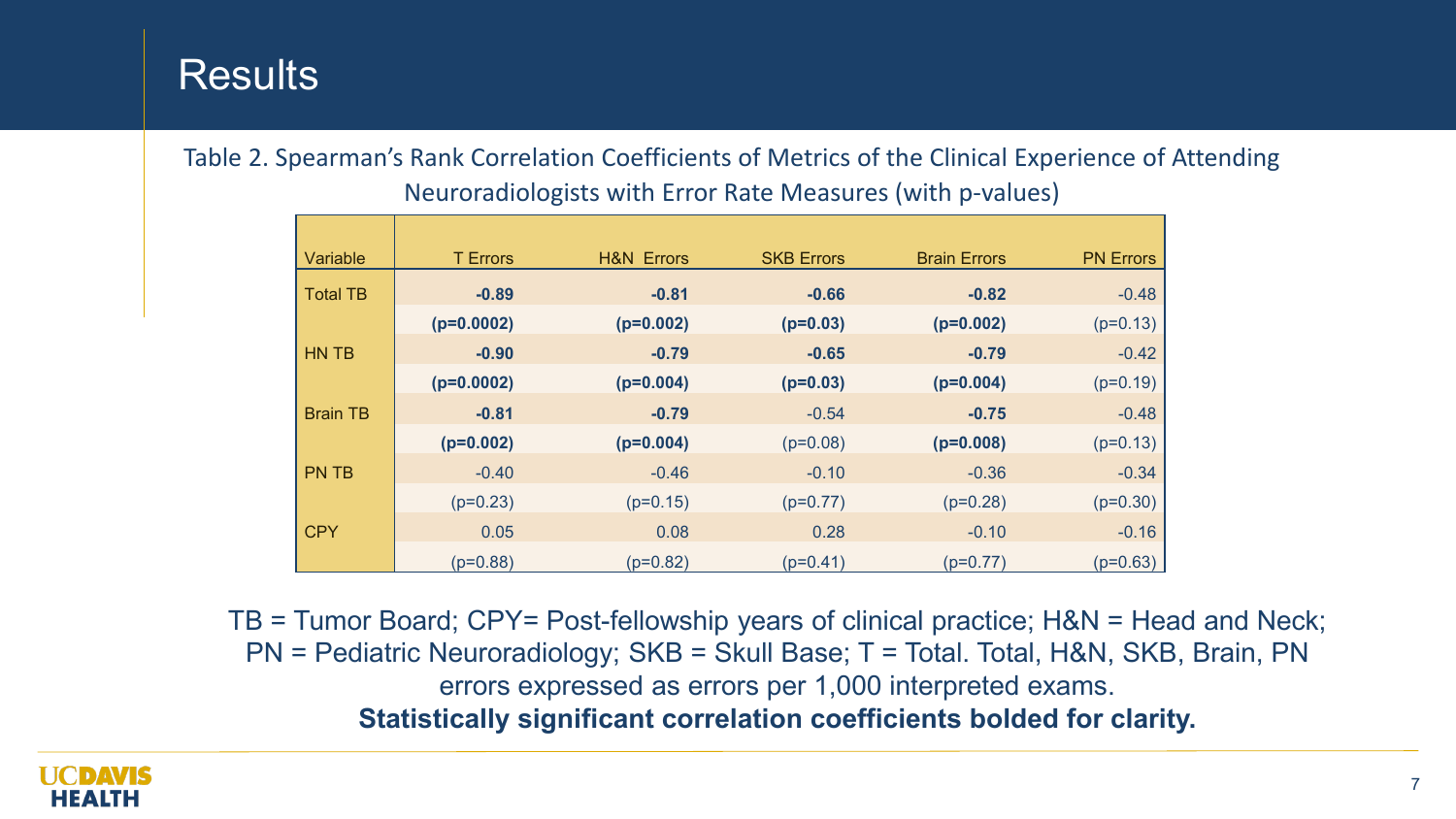### Results

Table 2. Spearman's Rank Correlation Coefficients of Metrics of the Clinical Experience of Attending Neuroradiologists with Error Rate Measures (with p-values)

| Variable        | <b>T</b> Errors | <b>H&amp;N Errors</b> | <b>SKB Errors</b> | <b>Brain Errors</b> | <b>PN Errors</b> |
|-----------------|-----------------|-----------------------|-------------------|---------------------|------------------|
| <b>Total TB</b> | $-0.89$         | $-0.81$               | $-0.66$           | $-0.82$             | $-0.48$          |
|                 | $(p=0.0002)$    | $(p=0.002)$           | $(p=0.03)$        | $(p=0.002)$         | $(p=0.13)$       |
| HN TB           | $-0.90$         | $-0.79$               | $-0.65$           | $-0.79$             | $-0.42$          |
|                 | $(p=0.0002)$    | $(p=0.004)$           | $(p=0.03)$        | $(p=0.004)$         | $(p=0.19)$       |
| <b>Brain TB</b> | $-0.81$         | $-0.79$               | $-0.54$           | $-0.75$             | $-0.48$          |
|                 | $(p=0.002)$     | $(p=0.004)$           | $(p=0.08)$        | $(p=0.008)$         | $(p=0.13)$       |
| <b>PN TB</b>    | $-0.40$         | $-0.46$               | $-0.10$           | $-0.36$             | $-0.34$          |
|                 | $(p=0.23)$      | $(p=0.15)$            | $(p=0.77)$        | $(p=0.28)$          | $(p=0.30)$       |
| <b>CPY</b>      | 0.05            | 0.08                  | 0.28              | $-0.10$             | $-0.16$          |
|                 | $(p=0.88)$      | $(p=0.82)$            | $(p=0.41)$        | $(p=0.77)$          | $(p=0.63)$       |

TB = Tumor Board; CPY= Post-fellowship years of clinical practice; H&N = Head and Neck; PN = Pediatric Neuroradiology; SKB = Skull Base; T = Total. Total, H&N, SKB, Brain, PN errors expressed as errors per 1,000 interpreted exams. **Statistically significant correlation coefficients bolded for clarity.**

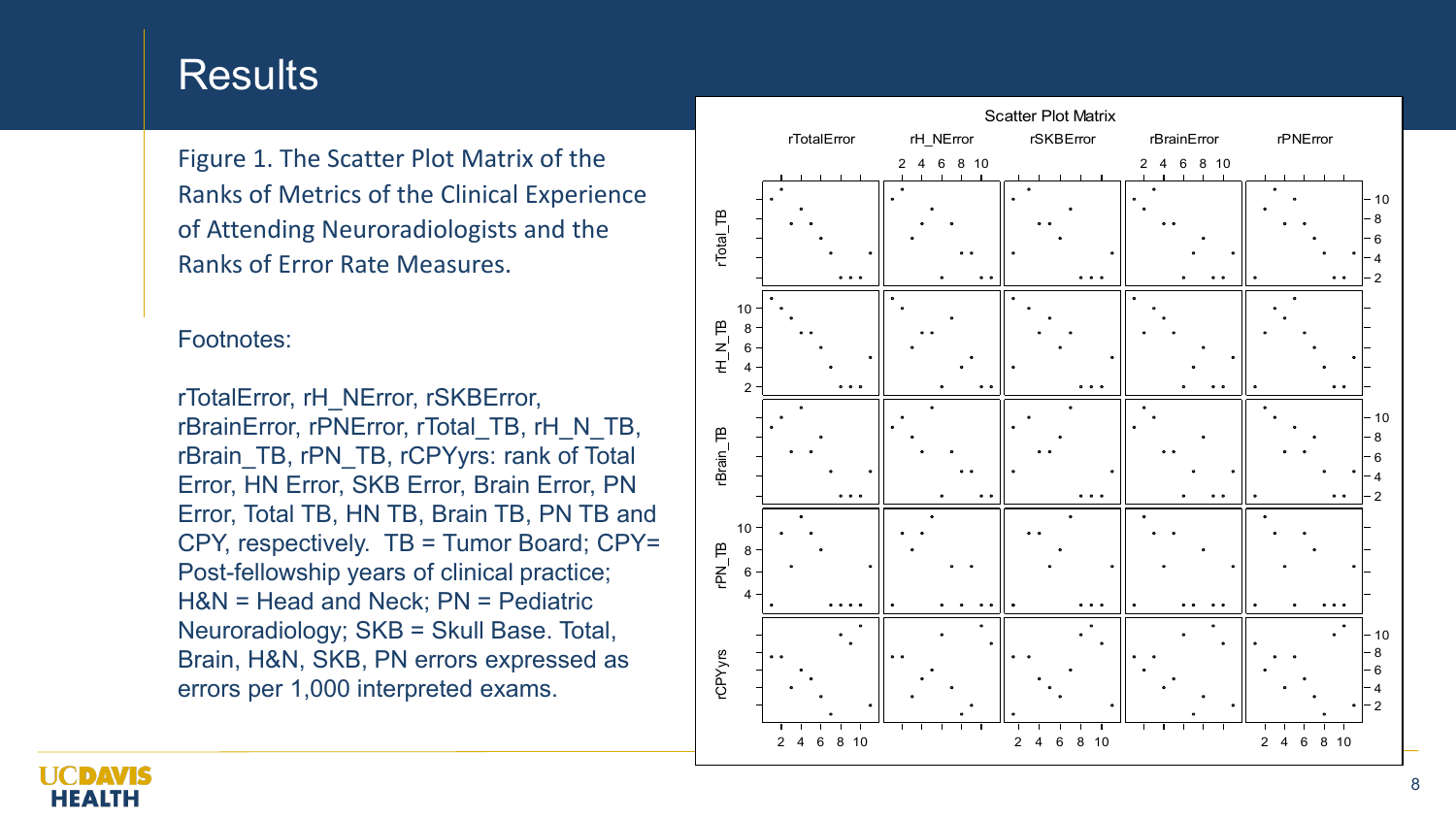#### **Results**

Figure 1. The Scatter Plot Matrix of the Ranks of Metrics of the Clinical Experience of Attending Neuroradiologists and the Ranks of Error Rate Measures.

#### Footnotes:

rTotalError, rH\_NError, rSKBError, rBrainError, rPNError, rTotal\_TB, rH\_N\_TB, rBrain\_TB, rPN\_TB, rCPYyrs: rank of Total Error, HN Error, SKB Error, Brain Error, PN Error, Total TB, HN TB, Brain TB, PN TB and CPY, respectively. TB = Tumor Board; CPY= Post-fellowship years of clinical practice; H&N = Head and Neck; PN = Pediatric Neuroradiology; SKB = Skull Base. Total, Brain, H&N, SKB, PN errors expressed as errors per 1,000 interpreted exams.



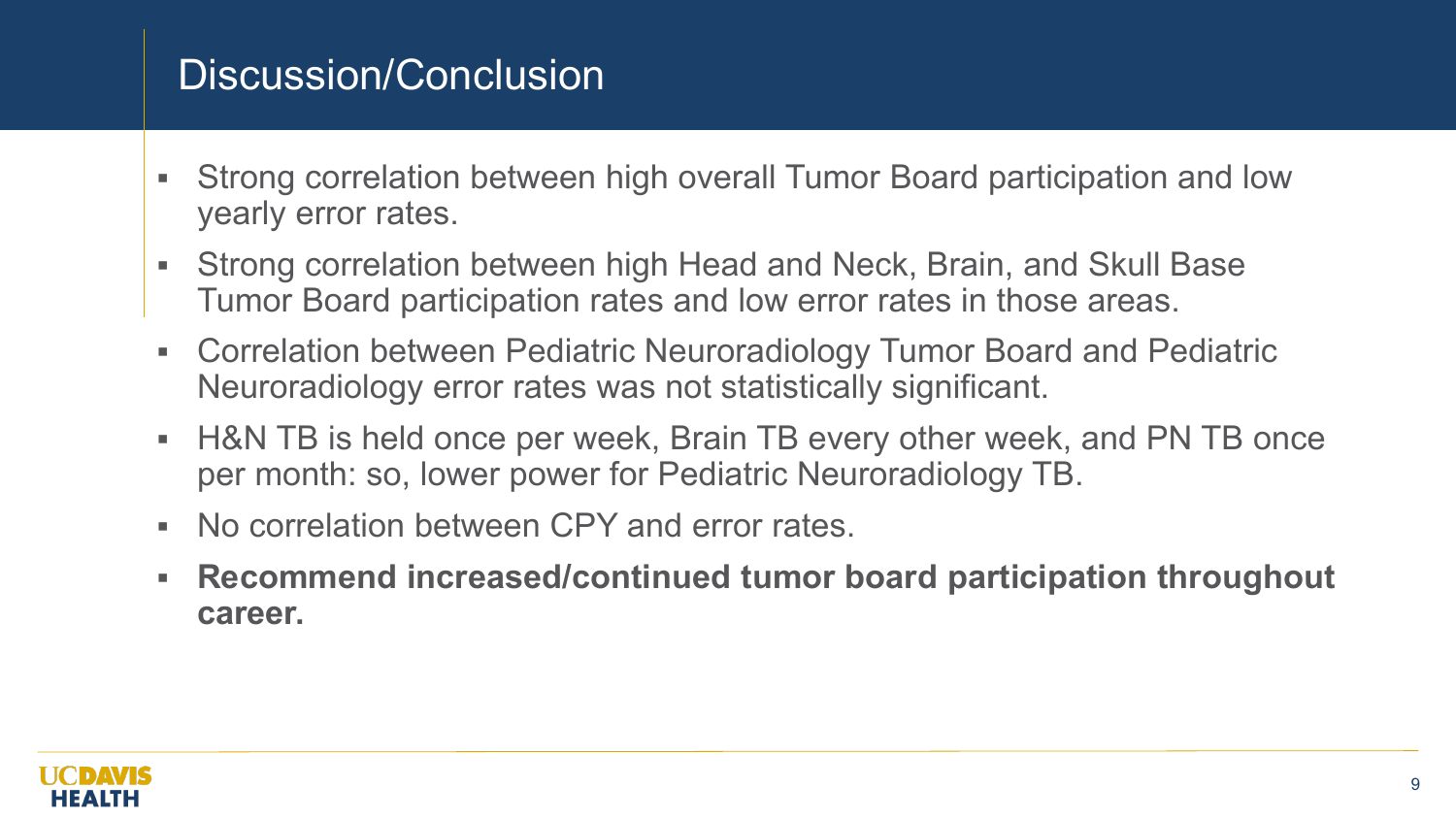## Discussion/Conclusion

- Strong correlation between high overall Tumor Board participation and low yearly error rates.
- Strong correlation between high Head and Neck, Brain, and Skull Base Tumor Board participation rates and low error rates in those areas.
- Correlation between Pediatric Neuroradiology Tumor Board and Pediatric Neuroradiology error rates was not statistically significant.
- H&N TB is held once per week, Brain TB every other week, and PN TB once per month: so, lower power for Pediatric Neuroradiology TB.
- No correlation between CPY and error rates.
- **Recommend increased/continued tumor board participation throughout career.**